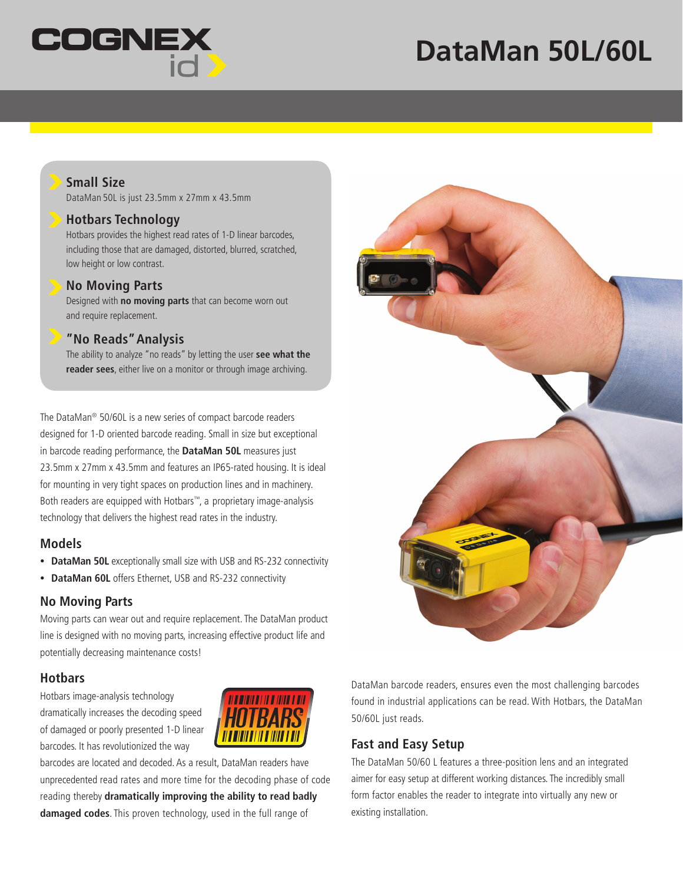

# **DataMan 50L/60L**

# **Small Size**

DataMan 50L is just 23.5mm x 27mm x 43.5mm

#### **Hotbars Technology**

Hotbars provides the highest read rates of 1-D linear barcodes, including those that are damaged, distorted, blurred, scratched, low height or low contrast.

#### **No Moving Parts**

Designed with **no moving parts** that can become worn out and require replacement.

#### **"No Reads" Analysis**

The ability to analyze "no reads" by letting the user **see what the reader sees**, either live on a monitor or through image archiving.

The DataMan® 50/60L is a new series of compact barcode readers designed for 1-D oriented barcode reading. Small in size but exceptional in barcode reading performance, the **DataMan 50L** measures just 23.5mm x 27mm x 43.5mm and features an IP65-rated housing. It is ideal for mounting in very tight spaces on production lines and in machinery. Both readers are equipped with Hotbars™, a proprietary image-analysis technology that delivers the highest read rates in the industry.

# **Models**

- **DataMan 50L** exceptionally small size with USB and RS-232 connectivity
- **DataMan 60L** offers Ethernet, USB and RS-232 connectivity

# **No Moving Parts**

Moving parts can wear out and require replacement. The DataMan product line is designed with no moving parts, increasing effective product life and potentially decreasing maintenance costs!

# **Hotbars**

Hotbars image-analysis technology dramatically increases the decoding speed of damaged or poorly presented 1-D linear barcodes. It has revolutionized the way



barcodes are located and decoded. As a result, DataMan readers have unprecedented read rates and more time for the decoding phase of code reading thereby **dramatically improving the ability to read badly damaged codes**. This proven technology, used in the full range of



DataMan barcode readers, ensures even the most challenging barcodes found in industrial applications can be read. With Hotbars, the DataMan 50/60L just reads.

# **Fast and Easy Setup**

The DataMan 50/60 L features a three-position lens and an integrated aimer for easy setup at different working distances. The incredibly small form factor enables the reader to integrate into virtually any new or existing installation.